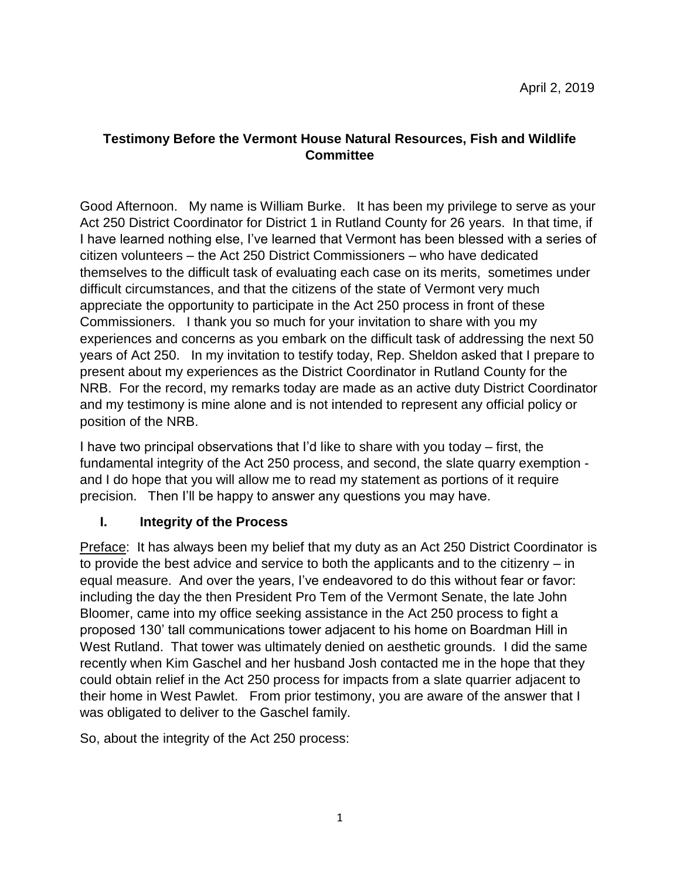## **Testimony Before the Vermont House Natural Resources, Fish and Wildlife Committee**

Good Afternoon. My name is William Burke. It has been my privilege to serve as your Act 250 District Coordinator for District 1 in Rutland County for 26 years. In that time, if I have learned nothing else, I've learned that Vermont has been blessed with a series of citizen volunteers – the Act 250 District Commissioners – who have dedicated themselves to the difficult task of evaluating each case on its merits, sometimes under difficult circumstances, and that the citizens of the state of Vermont very much appreciate the opportunity to participate in the Act 250 process in front of these Commissioners. I thank you so much for your invitation to share with you my experiences and concerns as you embark on the difficult task of addressing the next 50 years of Act 250. In my invitation to testify today, Rep. Sheldon asked that I prepare to present about my experiences as the District Coordinator in Rutland County for the NRB. For the record, my remarks today are made as an active duty District Coordinator and my testimony is mine alone and is not intended to represent any official policy or position of the NRB.

I have two principal observations that I'd like to share with you today – first, the fundamental integrity of the Act 250 process, and second, the slate quarry exemption and I do hope that you will allow me to read my statement as portions of it require precision. Then I'll be happy to answer any questions you may have.

# **I. Integrity of the Process**

Preface: It has always been my belief that my duty as an Act 250 District Coordinator is to provide the best advice and service to both the applicants and to the citizenry – in equal measure. And over the years, I've endeavored to do this without fear or favor: including the day the then President Pro Tem of the Vermont Senate, the late John Bloomer, came into my office seeking assistance in the Act 250 process to fight a proposed 130' tall communications tower adjacent to his home on Boardman Hill in West Rutland. That tower was ultimately denied on aesthetic grounds. I did the same recently when Kim Gaschel and her husband Josh contacted me in the hope that they could obtain relief in the Act 250 process for impacts from a slate quarrier adjacent to their home in West Pawlet. From prior testimony, you are aware of the answer that I was obligated to deliver to the Gaschel family.

So, about the integrity of the Act 250 process: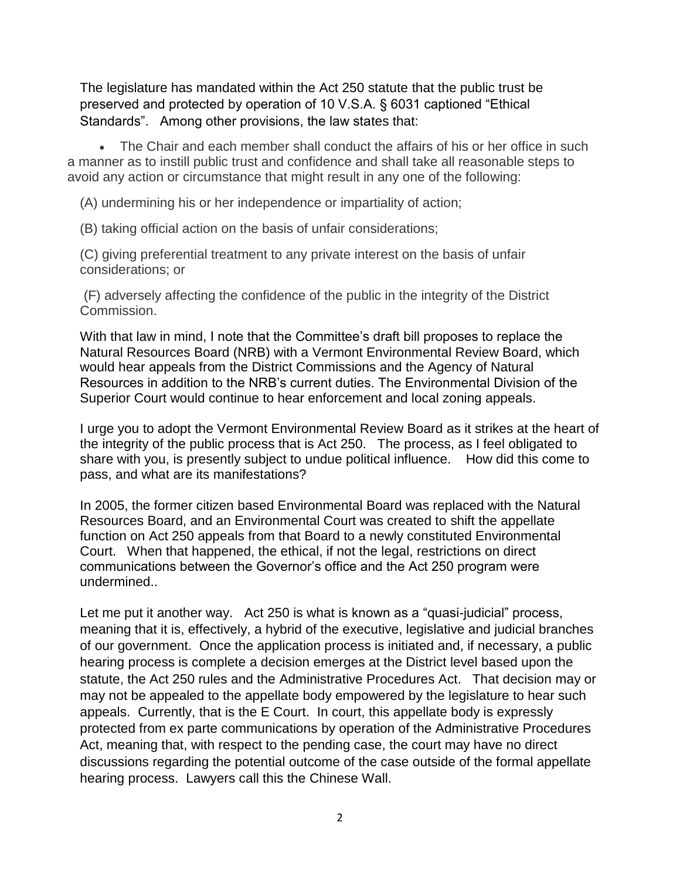The legislature has mandated within the Act 250 statute that the public trust be preserved and protected by operation of 10 V.S.A. § 6031 captioned "Ethical Standards". Among other provisions, the law states that:

• The Chair and each member shall conduct the affairs of his or her office in such a manner as to instill public trust and confidence and shall take all reasonable steps to avoid any action or circumstance that might result in any one of the following:

(A) undermining his or her independence or impartiality of action;

(B) taking official action on the basis of unfair considerations;

(C) giving preferential treatment to any private interest on the basis of unfair considerations; or

(F) adversely affecting the confidence of the public in the integrity of the District Commission.

With that law in mind, I note that the Committee's draft bill proposes to replace the Natural Resources Board (NRB) with a Vermont Environmental Review Board, which would hear appeals from the District Commissions and the Agency of Natural Resources in addition to the NRB's current duties. The Environmental Division of the Superior Court would continue to hear enforcement and local zoning appeals.

I urge you to adopt the Vermont Environmental Review Board as it strikes at the heart of the integrity of the public process that is Act 250. The process, as I feel obligated to share with you, is presently subject to undue political influence. How did this come to pass, and what are its manifestations?

In 2005, the former citizen based Environmental Board was replaced with the Natural Resources Board, and an Environmental Court was created to shift the appellate function on Act 250 appeals from that Board to a newly constituted Environmental Court. When that happened, the ethical, if not the legal, restrictions on direct communications between the Governor's office and the Act 250 program were undermined..

Let me put it another way. Act 250 is what is known as a "quasi-judicial" process, meaning that it is, effectively, a hybrid of the executive, legislative and judicial branches of our government. Once the application process is initiated and, if necessary, a public hearing process is complete a decision emerges at the District level based upon the statute, the Act 250 rules and the Administrative Procedures Act. That decision may or may not be appealed to the appellate body empowered by the legislature to hear such appeals. Currently, that is the E Court. In court, this appellate body is expressly protected from ex parte communications by operation of the Administrative Procedures Act, meaning that, with respect to the pending case, the court may have no direct discussions regarding the potential outcome of the case outside of the formal appellate hearing process. Lawyers call this the Chinese Wall.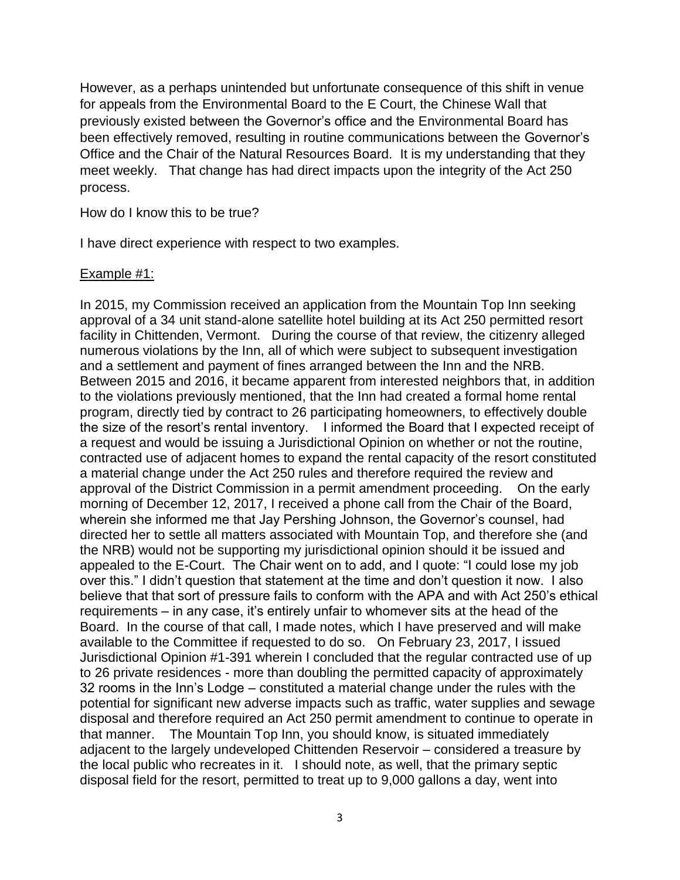However, as a perhaps unintended but unfortunate consequence of this shift in venue for appeals from the Environmental Board to the E Court, the Chinese Wall that previously existed between the Governor's office and the Environmental Board has been effectively removed, resulting in routine communications between the Governor's Office and the Chair of the Natural Resources Board. It is my understanding that they meet weekly. That change has had direct impacts upon the integrity of the Act 250 process.

#### How do I know this to be true?

I have direct experience with respect to two examples.

### Example #1:

In 2015, my Commission received an application from the Mountain Top Inn seeking approval of a 34 unit stand-alone satellite hotel building at its Act 250 permitted resort facility in Chittenden, Vermont. During the course of that review, the citizenry alleged numerous violations by the Inn, all of which were subject to subsequent investigation and a settlement and payment of fines arranged between the Inn and the NRB. Between 2015 and 2016, it became apparent from interested neighbors that, in addition to the violations previously mentioned, that the Inn had created a formal home rental program, directly tied by contract to 26 participating homeowners, to effectively double the size of the resort's rental inventory. I informed the Board that I expected receipt of a request and would be issuing a Jurisdictional Opinion on whether or not the routine, contracted use of adjacent homes to expand the rental capacity of the resort constituted a material change under the Act 250 rules and therefore required the review and approval of the District Commission in a permit amendment proceeding. On the early morning of December 12, 2017, I received a phone call from the Chair of the Board, wherein she informed me that Jay Pershing Johnson, the Governor's counsel, had directed her to settle all matters associated with Mountain Top, and therefore she (and the NRB) would not be supporting my jurisdictional opinion should it be issued and appealed to the E-Court. The Chair went on to add, and I quote: "I could lose my job over this." I didn't question that statement at the time and don't question it now. I also believe that that sort of pressure fails to conform with the APA and with Act 250's ethical requirements – in any case, it's entirely unfair to whomever sits at the head of the Board. In the course of that call, I made notes, which I have preserved and will make available to the Committee if requested to do so. On February 23, 2017, I issued Jurisdictional Opinion #1-391 wherein I concluded that the regular contracted use of up to 26 private residences - more than doubling the permitted capacity of approximately 32 rooms in the Inn's Lodge – constituted a material change under the rules with the potential for significant new adverse impacts such as traffic, water supplies and sewage disposal and therefore required an Act 250 permit amendment to continue to operate in that manner. The Mountain Top Inn, you should know, is situated immediately adjacent to the largely undeveloped Chittenden Reservoir – considered a treasure by the local public who recreates in it. I should note, as well, that the primary septic disposal field for the resort, permitted to treat up to 9,000 gallons a day, went into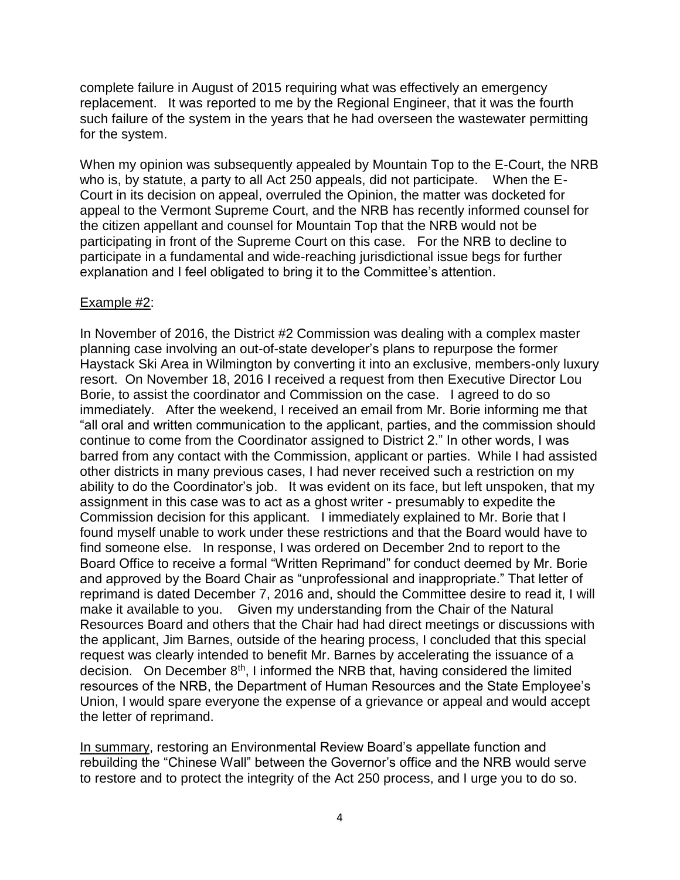complete failure in August of 2015 requiring what was effectively an emergency replacement. It was reported to me by the Regional Engineer, that it was the fourth such failure of the system in the years that he had overseen the wastewater permitting for the system.

When my opinion was subsequently appealed by Mountain Top to the E-Court, the NRB who is, by statute, a party to all Act 250 appeals, did not participate. When the E-Court in its decision on appeal, overruled the Opinion, the matter was docketed for appeal to the Vermont Supreme Court, and the NRB has recently informed counsel for the citizen appellant and counsel for Mountain Top that the NRB would not be participating in front of the Supreme Court on this case. For the NRB to decline to participate in a fundamental and wide-reaching jurisdictional issue begs for further explanation and I feel obligated to bring it to the Committee's attention.

### Example #2:

In November of 2016, the District #2 Commission was dealing with a complex master planning case involving an out-of-state developer's plans to repurpose the former Haystack Ski Area in Wilmington by converting it into an exclusive, members-only luxury resort. On November 18, 2016 I received a request from then Executive Director Lou Borie, to assist the coordinator and Commission on the case. I agreed to do so immediately. After the weekend, I received an email from Mr. Borie informing me that "all oral and written communication to the applicant, parties, and the commission should continue to come from the Coordinator assigned to District 2." In other words, I was barred from any contact with the Commission, applicant or parties. While I had assisted other districts in many previous cases, I had never received such a restriction on my ability to do the Coordinator's job. It was evident on its face, but left unspoken, that my assignment in this case was to act as a ghost writer - presumably to expedite the Commission decision for this applicant. I immediately explained to Mr. Borie that I found myself unable to work under these restrictions and that the Board would have to find someone else. In response, I was ordered on December 2nd to report to the Board Office to receive a formal "Written Reprimand" for conduct deemed by Mr. Borie and approved by the Board Chair as "unprofessional and inappropriate." That letter of reprimand is dated December 7, 2016 and, should the Committee desire to read it, I will make it available to you. Given my understanding from the Chair of the Natural Resources Board and others that the Chair had had direct meetings or discussions with the applicant, Jim Barnes, outside of the hearing process, I concluded that this special request was clearly intended to benefit Mr. Barnes by accelerating the issuance of a decision. On December  $8<sup>th</sup>$ , I informed the NRB that, having considered the limited resources of the NRB, the Department of Human Resources and the State Employee's Union, I would spare everyone the expense of a grievance or appeal and would accept the letter of reprimand.

In summary, restoring an Environmental Review Board's appellate function and rebuilding the "Chinese Wall" between the Governor's office and the NRB would serve to restore and to protect the integrity of the Act 250 process, and I urge you to do so.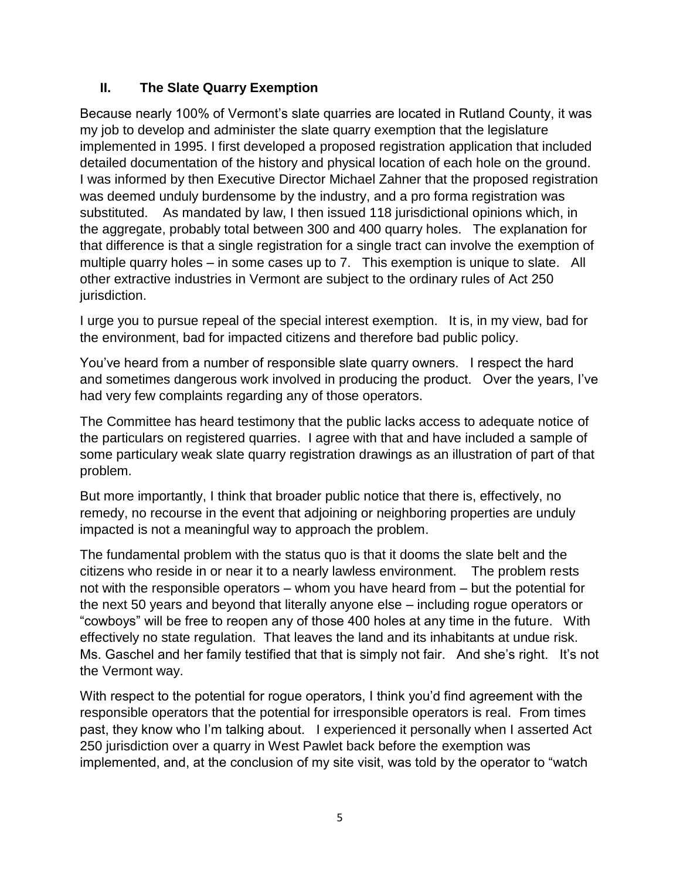### **II. The Slate Quarry Exemption**

Because nearly 100% of Vermont's slate quarries are located in Rutland County, it was my job to develop and administer the slate quarry exemption that the legislature implemented in 1995. I first developed a proposed registration application that included detailed documentation of the history and physical location of each hole on the ground. I was informed by then Executive Director Michael Zahner that the proposed registration was deemed unduly burdensome by the industry, and a pro forma registration was substituted. As mandated by law, I then issued 118 jurisdictional opinions which, in the aggregate, probably total between 300 and 400 quarry holes. The explanation for that difference is that a single registration for a single tract can involve the exemption of multiple quarry holes – in some cases up to 7. This exemption is unique to slate. All other extractive industries in Vermont are subject to the ordinary rules of Act 250 jurisdiction.

I urge you to pursue repeal of the special interest exemption. It is, in my view, bad for the environment, bad for impacted citizens and therefore bad public policy.

You've heard from a number of responsible slate quarry owners. I respect the hard and sometimes dangerous work involved in producing the product. Over the years, I've had very few complaints regarding any of those operators.

The Committee has heard testimony that the public lacks access to adequate notice of the particulars on registered quarries. I agree with that and have included a sample of some particulary weak slate quarry registration drawings as an illustration of part of that problem.

But more importantly, I think that broader public notice that there is, effectively, no remedy, no recourse in the event that adjoining or neighboring properties are unduly impacted is not a meaningful way to approach the problem.

The fundamental problem with the status quo is that it dooms the slate belt and the citizens who reside in or near it to a nearly lawless environment. The problem rests not with the responsible operators – whom you have heard from – but the potential for the next 50 years and beyond that literally anyone else – including rogue operators or "cowboys" will be free to reopen any of those 400 holes at any time in the future. With effectively no state regulation. That leaves the land and its inhabitants at undue risk. Ms. Gaschel and her family testified that that is simply not fair. And she's right. It's not the Vermont way.

With respect to the potential for rogue operators, I think you'd find agreement with the responsible operators that the potential for irresponsible operators is real. From times past, they know who I'm talking about. I experienced it personally when I asserted Act 250 jurisdiction over a quarry in West Pawlet back before the exemption was implemented, and, at the conclusion of my site visit, was told by the operator to "watch